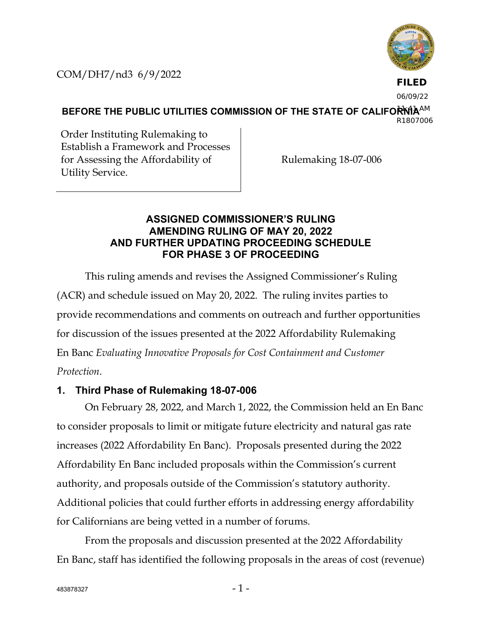COM/DH7/nd3 6/9/2022



**FILED**

06/09/22

BEFORE THE PUBLIC UTILITIES COMMISSION OF THE STATE OF CALIFOR<sup>I</sup>NIA<sup>AM</sup> R1807006

Order Instituting Rulemaking to Establish a Framework and Processes for Assessing the Affordability of Utility Service.

Rulemaking 18-07-006

## **ASSIGNED COMMISSIONER'S RULING AMENDING RULING OF MAY 20, 2022 AND FURTHER UPDATING PROCEEDING SCHEDULE FOR PHASE 3 OF PROCEEDING**

This ruling amends and revises the Assigned Commissioner's Ruling (ACR) and schedule issued on May 20, 2022. The ruling invites parties to provide recommendations and comments on outreach and further opportunities for discussion of the issues presented at the 2022 Affordability Rulemaking En Banc *Evaluating Innovative Proposals for Cost Containment and Customer Protection*.

## **1. Third Phase of Rulemaking 18-07-006**

On February 28, 2022, and March 1, 2022, the Commission held an En Banc to consider proposals to limit or mitigate future electricity and natural gas rate increases (2022 Affordability En Banc). Proposals presented during the 2022 Affordability En Banc included proposals within the Commission's current authority, and proposals outside of the Commission's statutory authority. Additional policies that could further efforts in addressing energy affordability for Californians are being vetted in a number of forums.

From the proposals and discussion presented at the 2022 Affordability En Banc, staff has identified the following proposals in the areas of cost (revenue)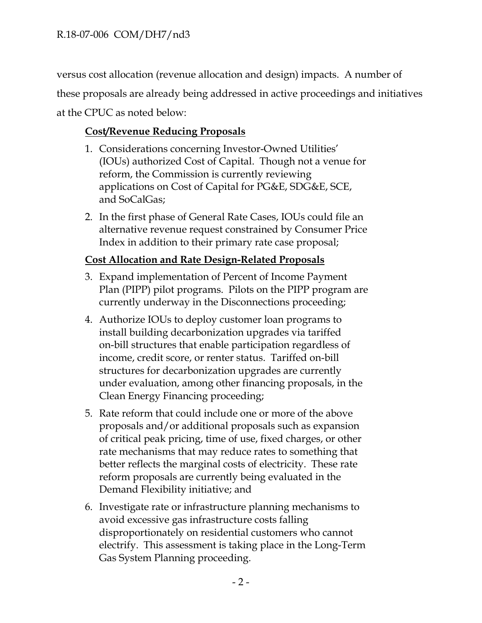versus cost allocation (revenue allocation and design) impacts. A number of these proposals are already being addressed in active proceedings and initiatives at the CPUC as noted below:

# **Cost/Revenue Reducing Proposals**

- 1. Considerations concerning Investor-Owned Utilities' (IOUs) authorized Cost of Capital. Though not a venue for reform, the Commission is currently reviewing applications on Cost of Capital for PG&E, SDG&E, SCE, and SoCalGas;
- 2. In the first phase of General Rate Cases, IOUs could file an alternative revenue request constrained by Consumer Price Index in addition to their primary rate case proposal;

# **Cost Allocation and Rate Design-Related Proposals**

- 3. Expand implementation of Percent of Income Payment Plan (PIPP) pilot programs. Pilots on the PIPP program are currently underway in the Disconnections proceeding;
- 4. Authorize IOUs to deploy customer loan programs to install building decarbonization upgrades via tariffed on-bill structures that enable participation regardless of income, credit score, or renter status. Tariffed on-bill structures for decarbonization upgrades are currently under evaluation, among other financing proposals, in the Clean Energy Financing proceeding;
- 5. Rate reform that could include one or more of the above proposals and/or additional proposals such as expansion of critical peak pricing, time of use, fixed charges, or other rate mechanisms that may reduce rates to something that better reflects the marginal costs of electricity. These rate reform proposals are currently being evaluated in the Demand Flexibility initiative; and
- 6. Investigate rate or infrastructure planning mechanisms to avoid excessive gas infrastructure costs falling disproportionately on residential customers who cannot electrify. This assessment is taking place in the Long-Term Gas System Planning proceeding.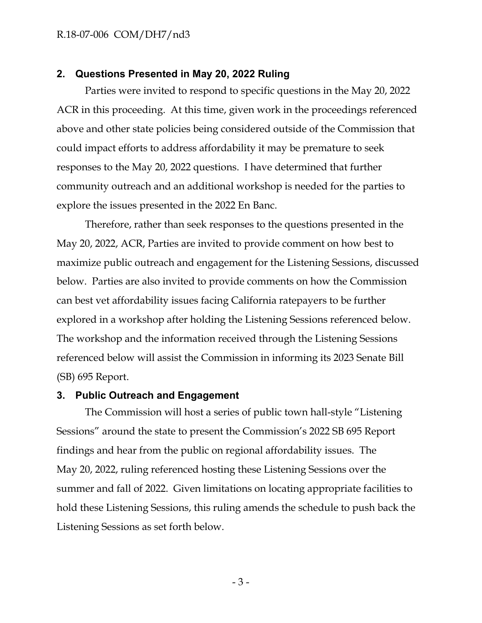#### R.18-07-006 COM/DH7/nd3

### **2. Questions Presented in May 20, 2022 Ruling**

Parties were invited to respond to specific questions in the May 20, 2022 ACR in this proceeding. At this time, given work in the proceedings referenced above and other state policies being considered outside of the Commission that could impact efforts to address affordability it may be premature to seek responses to the May 20, 2022 questions. I have determined that further community outreach and an additional workshop is needed for the parties to explore the issues presented in the 2022 En Banc.

Therefore, rather than seek responses to the questions presented in the May 20, 2022, ACR, Parties are invited to provide comment on how best to maximize public outreach and engagement for the Listening Sessions, discussed below. Parties are also invited to provide comments on how the Commission can best vet affordability issues facing California ratepayers to be further explored in a workshop after holding the Listening Sessions referenced below. The workshop and the information received through the Listening Sessions referenced below will assist the Commission in informing its 2023 Senate Bill (SB) 695 Report.

### **3. Public Outreach and Engagement**

The Commission will host a series of public town hall-style "Listening Sessions" around the state to present the Commission's 2022 SB 695 Report findings and hear from the public on regional affordability issues. The May 20, 2022, ruling referenced hosting these Listening Sessions over the summer and fall of 2022. Given limitations on locating appropriate facilities to hold these Listening Sessions, this ruling amends the schedule to push back the Listening Sessions as set forth below.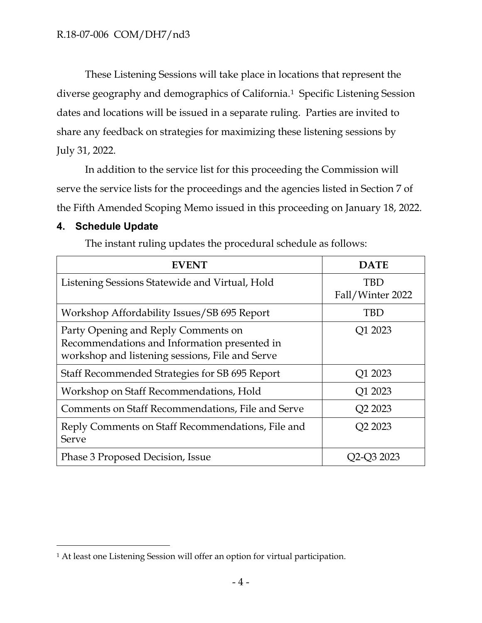These Listening Sessions will take place in locations that represent the diverse geography and demographics of California.[1](#page-3-0) Specific Listening Session dates and locations will be issued in a separate ruling. Parties are invited to share any feedback on strategies for maximizing these listening sessions by July 31, 2022.

In addition to the service list for this proceeding the Commission will serve the service lists for the proceedings and the agencies listed in Section 7 of the Fifth Amended Scoping Memo issued in this proceeding on January 18, 2022.

## **4. Schedule Update**

The instant ruling updates the procedural schedule as follows:

| <b>EVENT</b>                                                                                                                           | <b>DATE</b>                     |
|----------------------------------------------------------------------------------------------------------------------------------------|---------------------------------|
| Listening Sessions Statewide and Virtual, Hold                                                                                         | TBD<br>Fall/Winter 2022         |
| Workshop Affordability Issues/SB 695 Report                                                                                            | TBD                             |
| Party Opening and Reply Comments on<br>Recommendations and Information presented in<br>workshop and listening sessions, File and Serve | Q1 2023                         |
| Staff Recommended Strategies for SB 695 Report                                                                                         | Q1 2023                         |
| Workshop on Staff Recommendations, Hold                                                                                                | Q1 2023                         |
| Comments on Staff Recommendations, File and Serve                                                                                      | Q <sub>2</sub> 20 <sub>23</sub> |
| Reply Comments on Staff Recommendations, File and<br>Serve                                                                             | Q2 2023                         |
| Phase 3 Proposed Decision, Issue                                                                                                       |                                 |

<span id="page-3-0"></span><sup>&</sup>lt;sup>1</sup> At least one Listening Session will offer an option for virtual participation.